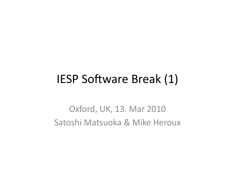## IESP Software Break (1)

Oxford, UK, 13. Mar 2010 Satoshi Matsuoka & Mike Heroux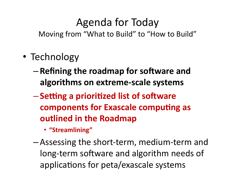## Agenda for Today

Moving from "What to Build" to "How to Build"

- Technology
	- **Refining'the'roadmap'for'so2ware'and'** algorithms on extreme-scale systems
	- $-$  **Setting a prioritized list of software components for Exascale computing as outlined in the Roadmap** 
		- **"Streamlining"'**
	- $-$  Assessing the short-term, medium-term and long-term software and algorithm needs of applications for peta/exascale systems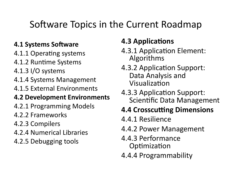### Software Topics in the Current Roadmap

#### **4.1 Systems Software**

- 4.1.1 Operating systems
- 4.1.2 Runtime Systems
- 4.1.3 I/O systems
- 4.1.4 Systems Management
- 4.1.5 External Environments

#### **4.2 Development Environments**

- 4.2.1 Programming Models
- 4.2.2 Frameworks
- 4.2.3 Compilers
- 4.2.4 Numerical Libraries
- 4.2.5 Debugging tools

### **4.3 Applications**

- 4.3.1 Application Element: Algorithms
- 4.3.2 Application Support: Data Analysis and Visualization
- 4.3.3 Application Support: Scientific Data Management

### **4.4 Crosscutting Dimensions**

- 4.4.1 Resilience
- 4.4.2 Power Management
- 4.4.3 Performance Optimization
- 4.4.4 Programmability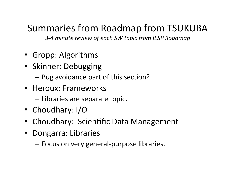### Summaries from Roadmap from TSUKUBA

3-4 minute review of each SW topic from IESP Roadmap

- Gropp: Algorithms
- Skinner: Debugging
	- $-$  Bug avoidance part of this section?
- Heroux: Frameworks
	- $-$  Libraries are separate topic.
- Choudhary:  $I/O$
- Choudhary: Scientific Data Management
- Dongarra: Libraries
	- $-$  Focus on very general-purpose libraries.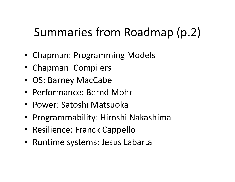# Summaries from Roadmap (p.2)

- Chapman: Programming Models
- Chapman: Compilers
- OS: Barney MacCabe
- Performance: Bernd Mohr
- Power: Satoshi Matsuoka
- Programmability: Hiroshi Nakashima
- Resilience: Franck Cappello
- Runtime systems: Jesus Labarta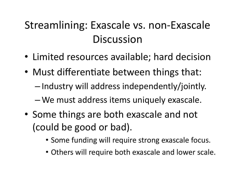## Streamlining: Exascale vs. non-Exascale **Discussion**

- Limited resources available; hard decision
- Must differentiate between things that:
	- $-$  Industry will address independently/jointly.
	- $-$  We must address items uniquely exascale.
- Some things are both exascale and not (could be good or bad).
	- Some funding will require strong exascale focus.
	- Others will require both exascale and lower scale.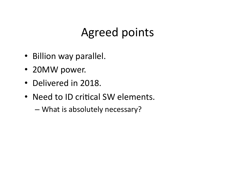## Agreed points

- Billion way parallel.
- 20MW power.
- Delivered in 2018.
- Need to ID critical SW elements.
	- What is absolutely necessary?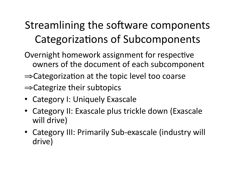## Streamlining the software components Categorizations of Subcomponents

- Overnight homework assignment for respective owners of the document of each subcomponent
- $\Rightarrow$  Categorization at the topic level too coarse
- $\Rightarrow$  Categrize their subtopics
- Category I: Uniquely Exascale
- Category II: Exascale plus trickle down (Exascale will drive)
- Category III: Primarily Sub-exascale (industry will drive)